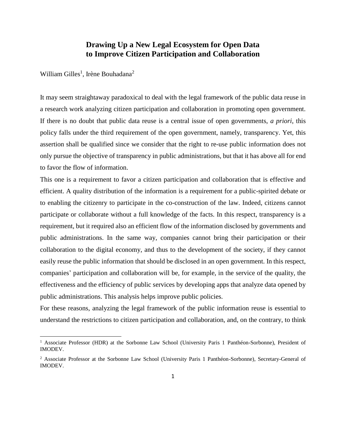### **Drawing Up a New Legal Ecosystem for Open Data to Improve Citizen Participation and Collaboration**

William Gilles<sup>1</sup>, Irène Bouhadana<sup>2</sup>

 $\overline{\phantom{a}}$ 

It may seem straightaway paradoxical to deal with the legal framework of the public data reuse in a research work analyzing citizen participation and collaboration in promoting open government. If there is no doubt that public data reuse is a central issue of open governments, *a priori*, this policy falls under the third requirement of the open government, namely, transparency. Yet, this assertion shall be qualified since we consider that the right to re-use public information does not only pursue the objective of transparency in public administrations, but that it has above all for end to favor the flow of information.

This one is a requirement to favor a citizen participation and collaboration that is effective and efficient. A quality distribution of the information is a requirement for a public-spirited debate or to enabling the citizenry to participate in the co-construction of the law. Indeed, citizens cannot participate or collaborate without a full knowledge of the facts. In this respect, transparency is a requirement, but it required also an efficient flow of the information disclosed by governments and public administrations. In the same way, companies cannot bring their participation or their collaboration to the digital economy, and thus to the development of the society, if they cannot easily reuse the public information that should be disclosed in an open government. In this respect, companies' participation and collaboration will be, for example, in the service of the quality, the effectiveness and the efficiency of public services by developing apps that analyze data opened by public administrations. This analysis helps improve public policies.

For these reasons, analyzing the legal framework of the public information reuse is essential to understand the restrictions to citizen participation and collaboration, and, on the contrary, to think

<sup>&</sup>lt;sup>1</sup> Associate Professor (HDR) at the Sorbonne Law School (University Paris 1 Panthéon-Sorbonne), President of IMODEV.

<sup>2</sup> Associate Professor at the Sorbonne Law School (University Paris 1 Panthéon-Sorbonne), Secretary-General of IMODEV.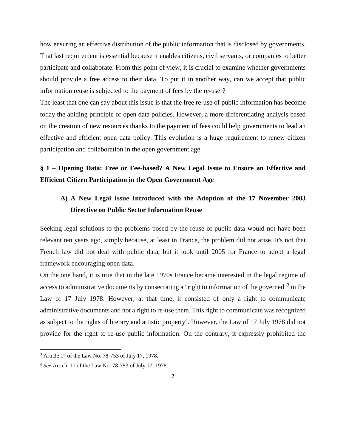how ensuring an effective distribution of the public information that is disclosed by governments. That last requirement is essential because it enables citizens, civil servants, or companies to better participate and collaborate. From this point of view, it is crucial to examine whether governments should provide a free access to their data. To put it in another way, can we accept that public information reuse is subjected to the payment of fees by the re-user?

The least that one can say about this issue is that the free re-use of public information has become today the abiding principle of open data policies. However, a more differentiating analysis based on the creation of new resources thanks to the payment of fees could help governments to lead an effective and efficient open data policy. This evolution is a huge requirement to renew citizen participation and collaboration in the open government age.

## **§ 1 – Opening Data: Free or Fee-based? A New Legal Issue to Ensure an Effective and Efficient Citizen Participation in the Open Government Age**

## **A) A New Legal Issue Introduced with the Adoption of the 17 November 2003 Directive on Public Sector Information Reuse**

Seeking legal solutions to the problems posed by the reuse of public data would not have been relevant ten years ago, simply because, at least in France, the problem did not arise. It's not that French law did not deal with public data, but it took until 2005 for France to adopt a legal framework encouraging open data.

On the one hand, it is true that in the late 1970s France became interested in the legal regime of access to administrative documents by consecrating a "right to information of the governed"<sup>3</sup> in the Law of 17 July 1978. However, at that time, it consisted of only a right to communicate administrative documents and not a right to re-use them. This right to communicate was recognized as subject to the rights of literary and artistic property<sup>4</sup>. However, the Law of 17 July 1978 did not provide for the right to re-use public information. On the contrary, it expressly prohibited the

l

 $3$  Article 1st of the Law No. 78-753 of July 17, 1978.

<sup>4</sup> *See* Article 10 of the Law No. 78-753 of July 17, 1978.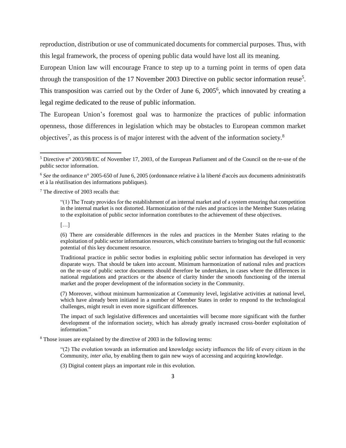reproduction, distribution or use of communicated documents for commercial purposes. Thus, with this legal framework, the process of opening public data would have lost all its meaning. European Union law will encourage France to step up to a turning point in terms of open data through the transposition of the 17 November 2003 Directive on public sector information reuse<sup>5</sup>. This transposition was carried out by the Order of June 6, 2005<sup>6</sup>, which innovated by creating a legal regime dedicated to the reuse of public information.

The European Union's foremost goal was to harmonize the practices of public information openness, those differences in legislation which may be obstacles to European common market objectives<sup>7</sup>, as this process is of major interest with the advent of the information society.<sup>8</sup>

 $7$  The directive of 2003 recalls that:

 $[\dots]$ 

 $\overline{\phantom{a}}$ 

(6) There are considerable differences in the rules and practices in the Member States relating to the exploitation of public sector information resources, which constitute barriers to bringing out the full economic potential of this key document resource.

Traditional practice in public sector bodies in exploiting public sector information has developed in very disparate ways. That should be taken into account. Minimum harmonization of national rules and practices on the re-use of public sector documents should therefore be undertaken, in cases where the differences in national regulations and practices or the absence of clarity hinder the smooth functioning of the internal market and the proper development of the information society in the Community.

(7) Moreover, without minimum harmonization at Community level, legislative activities at national level, which have already been initiated in a number of Member States in order to respond to the technological challenges, might result in even more significant differences.

The impact of such legislative differences and uncertainties will become more significant with the further development of the information society, which has already greatly increased cross-border exploitation of information."

<sup>8</sup> Those issues are explained by the directive of 2003 in the following terms:

"(2) The evolution towards an information and knowledge society influences the life of every citizen in the Community, *inter alia*, by enabling them to gain new ways of accessing and acquiring knowledge.

(3) Digital content plays an important role in this evolution.

<sup>5</sup> Directive n° 2003/98/EC of November 17, 2003, of the European Parliament and of the Council on the re-use of the public sector information.

<sup>6</sup> *See* the ordinance n° 2005-650 of June 6, 2005 (ordonnance relative à la liberté d'accès aux documents administratifs et à la réutilisation des informations publiques).

<sup>&</sup>quot;(1) The Treaty provides for the establishment of an internal market and of a system ensuring that competition in the internal market is not distorted. Harmonization of the rules and practices in the Member States relating to the exploitation of public sector information contributes to the achievement of these objectives.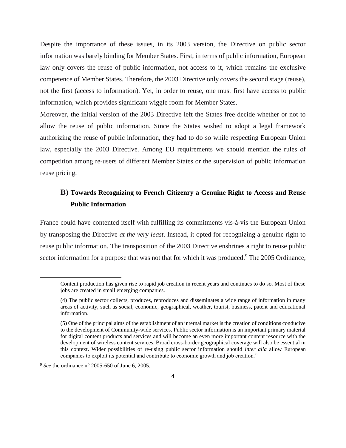Despite the importance of these issues, in its 2003 version, the Directive on public sector information was barely binding for Member States. First, in terms of public information, European law only covers the reuse of public information, not access to it, which remains the exclusive competence of Member States. Therefore, the 2003 Directive only covers the second stage (reuse), not the first (access to information). Yet, in order to reuse, one must first have access to public information, which provides significant wiggle room for Member States.

Moreover, the initial version of the 2003 Directive left the States free decide whether or not to allow the reuse of public information. Since the States wished to adopt a legal framework authorizing the reuse of public information, they had to do so while respecting European Union law, especially the 2003 Directive. Among EU requirements we should mention the rules of competition among re-users of different Member States or the supervision of public information reuse pricing.

## **B) Towards Recognizing to French Citizenry a Genuine Right to Access and Reuse Public Information**

France could have contented itself with fulfilling its commitments vis-à-vis the European Union by transposing the Directive *at the very least*. Instead, it opted for recognizing a genuine right to reuse public information. The transposition of the 2003 Directive enshrines a right to reuse public sector information for a purpose that was not that for which it was produced.<sup>9</sup> The 2005 Ordinance,

Content production has given rise to rapid job creation in recent years and continues to do so. Most of these jobs are created in small emerging companies.

<sup>(4)</sup> The public sector collects, produces, reproduces and disseminates a wide range of information in many areas of activity, such as social, economic, geographical, weather, tourist, business, patent and educational information.

<sup>(5)</sup> One of the principal aims of the establishment of an internal market is the creation of conditions conducive to the development of Community-wide services. Public sector information is an important primary material for digital content products and services and will become an even more important content resource with the development of wireless content services. Broad cross-border geographical coverage will also be essential in this context. Wider possibilities of re-using public sector information should *inter alia* allow European companies to exploit its potential and contribute to economic growth and job creation."

<sup>9</sup> *See* the ordinance n° 2005-650 of June 6, 2005.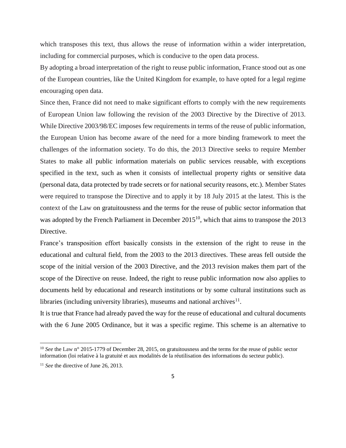which transposes this text, thus allows the reuse of information within a wider interpretation, including for commercial purposes, which is conducive to the open data process.

By adopting a broad interpretation of the right to reuse public information, France stood out as one of the European countries, like the United Kingdom for example, to have opted for a legal regime encouraging open data.

Since then, France did not need to make significant efforts to comply with the new requirements of European Union law following the revision of the 2003 Directive by the Directive of 2013. While Directive 2003/98/EC imposes few requirements in terms of the reuse of public information, the European Union has become aware of the need for a more binding framework to meet the challenges of the information society. To do this, the 2013 Directive seeks to require Member States to make all public information materials on public services reusable, with exceptions specified in the text, such as when it consists of intellectual property rights or sensitive data (personal data, data protected by trade secrets or for national security reasons, etc.). Member States were required to transpose the Directive and to apply it by 18 July 2015 at the latest. This is the context of the Law on gratuitousness and the terms for the reuse of public sector information that was adopted by the French Parliament in December  $2015^{10}$ , which that aims to transpose the 2013 Directive.

France's transposition effort basically consists in the extension of the right to reuse in the educational and cultural field, from the 2003 to the 2013 directives. These areas fell outside the scope of the initial version of the 2003 Directive, and the 2013 revision makes them part of the scope of the Directive on reuse. Indeed, the right to reuse public information now also applies to documents held by educational and research institutions or by some cultural institutions such as libraries (including university libraries), museums and national archives $^{11}$ .

It is true that France had already paved the way for the reuse of educational and cultural documents with the 6 June 2005 Ordinance, but it was a specific regime. This scheme is an alternative to

<sup>&</sup>lt;sup>10</sup> *See* the Law n° 2015-1779 of December 28, 2015, on gratuitousness and the terms for the reuse of public sector information (loi relative à la gratuité et aux modalités de la réutilisation des informations du secteur public).

<sup>&</sup>lt;sup>11</sup> *See* the directive of June 26, 2013.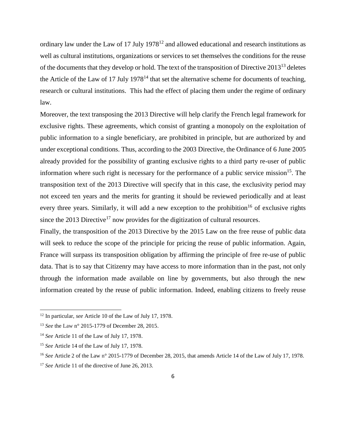ordinary law under the Law of 17 July  $1978^{12}$  and allowed educational and research institutions as well as cultural institutions, organizations or services to set themselves the conditions for the reuse of the documents that they develop or hold. The text of the transposition of Directive 2013<sup>13</sup> deletes the Article of the Law of 17 July 1978<sup>14</sup> that set the alternative scheme for documents of teaching, research or cultural institutions. This had the effect of placing them under the regime of ordinary law.

Moreover, the text transposing the 2013 Directive will help clarify the French legal framework for exclusive rights. These agreements, which consist of granting a monopoly on the exploitation of public information to a single beneficiary, are prohibited in principle, but are authorized by and under exceptional conditions. Thus, according to the 2003 Directive, the Ordinance of 6 June 2005 already provided for the possibility of granting exclusive rights to a third party re-user of public information where such right is necessary for the performance of a public service mission<sup>15</sup>. The transposition text of the 2013 Directive will specify that in this case, the exclusivity period may not exceed ten years and the merits for granting it should be reviewed periodically and at least every three years. Similarly, it will add a new exception to the prohibition<sup>16</sup> of exclusive rights since the 2013 Directive<sup>17</sup> now provides for the digitization of cultural resources.

Finally, the transposition of the 2013 Directive by the 2015 Law on the free reuse of public data will seek to reduce the scope of the principle for pricing the reuse of public information. Again, France will surpass its transposition obligation by affirming the principle of free re-use of public data. That is to say that Citizenry may have access to more information than in the past, not only through the information made available on line by governments, but also through the new information created by the reuse of public information. Indeed, enabling citizens to freely reuse

<sup>12</sup> In particular, *see* Article 10 of the Law of July 17, 1978.

<sup>13</sup> *See* the Law n° 2015-1779 of December 28, 2015.

<sup>14</sup> *See* Article 11 of the Law of July 17, 1978.

<sup>15</sup> *See* Article 14 of the Law of July 17, 1978.

<sup>16</sup> *See* Article 2 of the Law n° 2015-1779 of December 28, 2015, that amends Article 14 of the Law of July 17, 1978.

<sup>&</sup>lt;sup>17</sup> *See* Article 11 of the directive of June 26, 2013.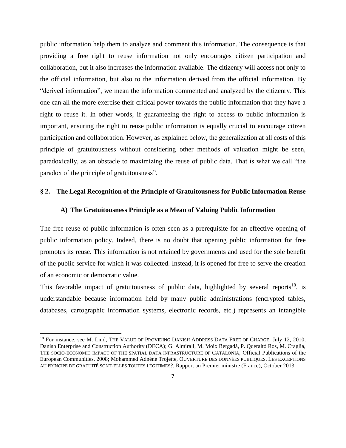public information help them to analyze and comment this information. The consequence is that providing a free right to reuse information not only encourages citizen participation and collaboration, but it also increases the information available. The citizenry will access not only to the official information, but also to the information derived from the official information. By "derived information", we mean the information commented and analyzed by the citizenry. This one can all the more exercise their critical power towards the public information that they have a right to reuse it. In other words, if guaranteeing the right to access to public information is important, ensuring the right to reuse public information is equally crucial to encourage citizen participation and collaboration. However, as explained below, the generalization at all costs of this principle of gratuitousness without considering other methods of valuation might be seen, paradoxically, as an obstacle to maximizing the reuse of public data. That is what we call "the paradox of the principle of gratuitousness".

#### **§ 2. – The Legal Recognition of the Principle of Gratuitousness for Public Information Reuse**

### **A) The Gratuitousness Principle as a Mean of Valuing Public Information**

The free reuse of public information is often seen as a prerequisite for an effective opening of public information policy. Indeed, there is no doubt that opening public information for free promotes its reuse. This information is not retained by governments and used for the sole benefit of the public service for which it was collected. Instead, it is opened for free to serve the creation of an economic or democratic value.

This favorable impact of gratuitousness of public data, highlighted by several reports<sup>18</sup>, is understandable because information held by many public administrations (encrypted tables, databases, cartographic information systems, electronic records, etc.) represents an intangible

 $\overline{a}$ 

<sup>&</sup>lt;sup>18</sup> For instance, see M. Lind, THE VALUE OF PROVIDING DANISH ADDRESS DATA FREE OF CHARGE, July 12, 2010, Danish Enterprise and Construction Authority (DECA); G. Almirall, M. Moix Bergadà, P. Queraltó Ros, M. Craglia, THE SOCIO-ECONOMIC IMPACT OF THE SPATIAL DATA INFRASTRUCTURE OF CATALONIA, Official Publications of the European Communities, 2008; Mohammed Adnène Trojette, OUVERTURE DES DONNÉES PUBLIQUES. LES EXCEPTIONS AU PRINCIPE DE GRATUITÉ SONT-ELLES TOUTES LÉGITIMES?, Rapport au Premier ministre (France), October 2013.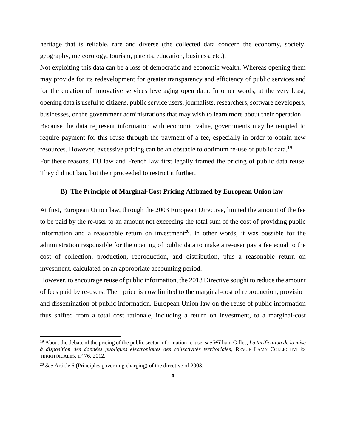heritage that is reliable, rare and diverse (the collected data concern the economy, society, geography, meteorology, tourism, patents, education, business, etc.).

Not exploiting this data can be a loss of democratic and economic wealth. Whereas opening them may provide for its redevelopment for greater transparency and efficiency of public services and for the creation of innovative services leveraging open data. In other words, at the very least, opening data is useful to citizens, public service users, journalists, researchers, software developers, businesses, or the government administrations that may wish to learn more about their operation. Because the data represent information with economic value, governments may be tempted to require payment for this reuse through the payment of a fee, especially in order to obtain new resources. However, excessive pricing can be an obstacle to optimum re-use of public data.<sup>19</sup> For these reasons, EU law and French law first legally framed the pricing of public data reuse. They did not ban, but then proceeded to restrict it further.

#### **B) The Principle of Marginal-Cost Pricing Affirmed by European Union law**

At first, European Union law, through the 2003 European Directive, limited the amount of the fee to be paid by the re-user to an amount not exceeding the total sum of the cost of providing public information and a reasonable return on investment<sup>20</sup>. In other words, it was possible for the administration responsible for the opening of public data to make a re-user pay a fee equal to the cost of collection, production, reproduction, and distribution, plus a reasonable return on investment, calculated on an appropriate accounting period.

However, to encourage reuse of public information, the 2013 Directive sought to reduce the amount of fees paid by re-users. Their price is now limited to the marginal-cost of reproduction, provision and dissemination of public information. European Union law on the reuse of public information thus shifted from a total cost rationale, including a return on investment, to a marginal-cost

<sup>19</sup> About the debate of the pricing of the public sector information re-use, *see* William Gilles, *La tarification de la mise à disposition des données publiques électroniques des collectivités territoriales*, REVUE LAMY COLLECTIVITÉS TERRITORIALES, n° 76, 2012.

<sup>20</sup> *See* Article 6 (Principles governing charging) of the directive of 2003.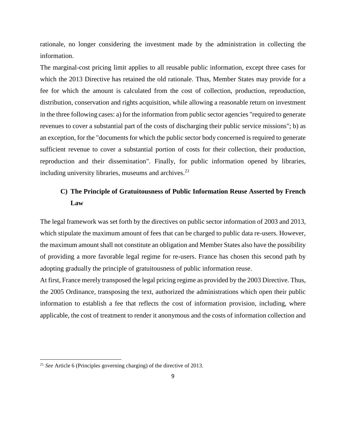rationale, no longer considering the investment made by the administration in collecting the information.

The marginal-cost pricing limit applies to all reusable public information, except three cases for which the 2013 Directive has retained the old rationale. Thus, Member States may provide for a fee for which the amount is calculated from the cost of collection, production, reproduction, distribution, conservation and rights acquisition, while allowing a reasonable return on investment in the three following cases: a) for the information from public sector agencies "required to generate revenues to cover a substantial part of the costs of discharging their public service missions"; b) as an exception, for the "documents for which the public sector body concerned is required to generate sufficient revenue to cover a substantial portion of costs for their collection, their production, reproduction and their dissemination". Finally, for public information opened by libraries, including university libraries, museums and archives.<sup>21</sup>

### **C) The Principle of Gratuitousness of Public Information Reuse Asserted by French Law**

The legal framework was set forth by the directives on public sector information of 2003 and 2013, which stipulate the maximum amount of fees that can be charged to public data re-users. However, the maximum amount shall not constitute an obligation and Member States also have the possibility of providing a more favorable legal regime for re-users. France has chosen this second path by adopting gradually the principle of gratuitousness of public information reuse.

At first, France merely transposed the legal pricing regime as provided by the 2003 Directive. Thus, the 2005 Ordinance, transposing the text, authorized the administrations which open their public information to establish a fee that reflects the cost of information provision, including, where applicable, the cost of treatment to render it anonymous and the costs of information collection and

 $\overline{a}$ 

<sup>21</sup> *See* Article 6 (Principles governing charging) of the directive of 2013.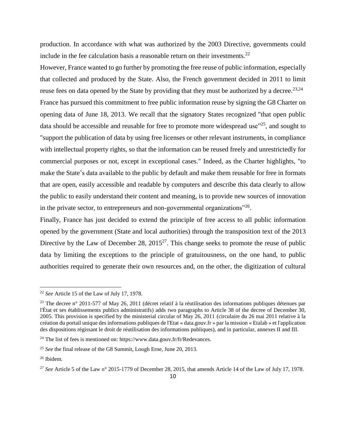production. In accordance with what was authorized by the 2003 Directive, governments could include in the fee calculation basis a reasonable return on their investments.<sup>22</sup>

However, France wanted to go further by promoting the free reuse of public information, especially that collected and produced by the State. Also, the French government decided in 2011 to limit reuse fees on data opened by the State by providing that they must be authorized by a decree.<sup>23,24</sup> France has pursued this commitment to free public information reuse by signing the G8 Charter on opening data of June 18, 2013. We recall that the signatory States recognized "that open public data should be accessible and reusable for free to promote more widespread use<sup> $25$ </sup>, and sought to "support the publication of data by using free licenses or other relevant instruments, in compliance with intellectual property rights, so that the information can be reused freely and unrestrictedly for commercial purposes or not, except in exceptional cases." Indeed, as the Charter highlights, "to make the State's data available to the public by default and make them reusable for free in formats that are open, easily accessible and readable by computers and describe this data clearly to allow the public to easily understand their content and meaning, is to provide new sources of innovation in the private sector, to entrepreneurs and non-governmental organizations"<sup>26</sup>.

Finally, France has just decided to extend the principle of free access to all public information opened by the government (State and local authorities) through the transposition text of the 2013 Directive by the Law of December 28,  $2015^{27}$ . This change seeks to promote the reuse of public data by limiting the exceptions to the principle of gratuitousness, on the one hand, to public authorities required to generate their own resources and, on the other, the digitization of cultural

<sup>22</sup> *See* Article 15 of the Law of July 17, 1978.

<sup>&</sup>lt;sup>23</sup> The decree n° 2011-577 of May 26, 2011 (décret relatif à la réutilisation des informations publiques détenues par l'État et ses établissements publics administratifs) adds two paragraphs to Article 38 of the decree of December 30, 2005. This provision is specified by the ministerial circular of May 26, 2011 (circulaire du 26 mai 2011 relative à la création du portail unique des informations publiques de l'Etat « data.gouv.fr » par la mission « Etalab » et l'application des dispositions régissant le droit de réutilisation des informations publiques), and in particular, annexes II and III.

 $^{24}$  The list of fees is mentioned on: https://www.data.gouv.fr/fr/Redevances.

<sup>25</sup> *See* the final release of the G8 Summit, Lough Erne, June 20, 2013.

<sup>26</sup> Ibidem.

<sup>27</sup> *See* Article 5 of the Law n° 2015-1779 of December 28, 2015, that amends Article 14 of the Law of July 17, 1978.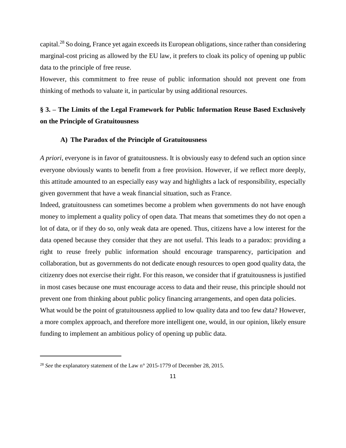capital.<sup>28</sup> So doing, France yet again exceeds its European obligations, since rather than considering marginal-cost pricing as allowed by the EU law, it prefers to cloak its policy of opening up public data to the principle of free reuse.

However, this commitment to free reuse of public information should not prevent one from thinking of methods to valuate it, in particular by using additional resources.

# **§ 3. – The Limits of the Legal Framework for Public Information Reuse Based Exclusively on the Principle of Gratuitousness**

#### **A) The Paradox of the Principle of Gratuitousness**

*A priori*, everyone is in favor of gratuitousness. It is obviously easy to defend such an option since everyone obviously wants to benefit from a free provision. However, if we reflect more deeply, this attitude amounted to an especially easy way and highlights a lack of responsibility, especially given government that have a weak financial situation, such as France.

Indeed, gratuitousness can sometimes become a problem when governments do not have enough money to implement a quality policy of open data. That means that sometimes they do not open a lot of data, or if they do so, only weak data are opened. Thus, citizens have a low interest for the data opened because they consider that they are not useful. This leads to a paradox: providing a right to reuse freely public information should encourage transparency, participation and collaboration, but as governments do not dedicate enough resources to open good quality data, the citizenry does not exercise their right. For this reason, we consider that if gratuitousness is justified in most cases because one must encourage access to data and their reuse, this principle should not prevent one from thinking about public policy financing arrangements, and open data policies. What would be the point of gratuitousness applied to low quality data and too few data? However, a more complex approach, and therefore more intelligent one, would, in our opinion, likely ensure funding to implement an ambitious policy of opening up public data.

 $\overline{a}$ 

<sup>&</sup>lt;sup>28</sup> *See* the explanatory statement of the Law n° 2015-1779 of December 28, 2015.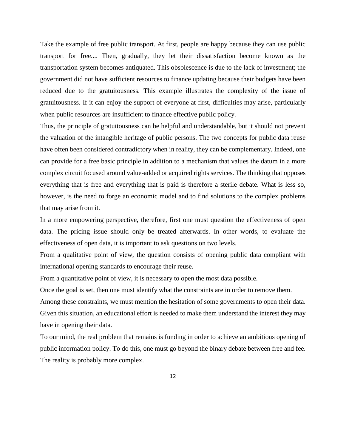Take the example of free public transport. At first, people are happy because they can use public transport for free.... Then, gradually, they let their dissatisfaction become known as the transportation system becomes antiquated. This obsolescence is due to the lack of investment; the government did not have sufficient resources to finance updating because their budgets have been reduced due to the gratuitousness. This example illustrates the complexity of the issue of gratuitousness. If it can enjoy the support of everyone at first, difficulties may arise, particularly when public resources are insufficient to finance effective public policy.

Thus, the principle of gratuitousness can be helpful and understandable, but it should not prevent the valuation of the intangible heritage of public persons. The two concepts for public data reuse have often been considered contradictory when in reality, they can be complementary. Indeed, one can provide for a free basic principle in addition to a mechanism that values the datum in a more complex circuit focused around value-added or acquired rights services. The thinking that opposes everything that is free and everything that is paid is therefore a sterile debate. What is less so, however, is the need to forge an economic model and to find solutions to the complex problems that may arise from it.

In a more empowering perspective, therefore, first one must question the effectiveness of open data. The pricing issue should only be treated afterwards. In other words, to evaluate the effectiveness of open data, it is important to ask questions on two levels.

From a qualitative point of view, the question consists of opening public data compliant with international opening standards to encourage their reuse.

From a quantitative point of view, it is necessary to open the most data possible.

Once the goal is set, then one must identify what the constraints are in order to remove them.

Among these constraints, we must mention the hesitation of some governments to open their data. Given this situation, an educational effort is needed to make them understand the interest they may have in opening their data.

To our mind, the real problem that remains is funding in order to achieve an ambitious opening of public information policy. To do this, one must go beyond the binary debate between free and fee. The reality is probably more complex.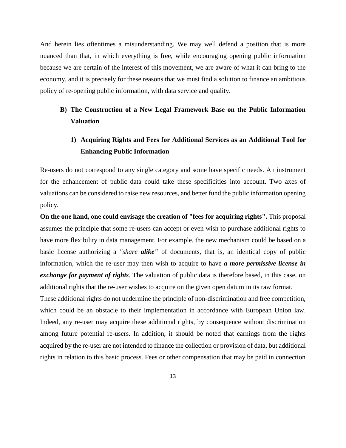And herein lies oftentimes a misunderstanding. We may well defend a position that is more nuanced than that, in which everything is free, while encouraging opening public information because we are certain of the interest of this movement, we are aware of what it can bring to the economy, and it is precisely for these reasons that we must find a solution to finance an ambitious policy of re-opening public information, with data service and quality.

## **B) The Construction of a New Legal Framework Base on the Public Information Valuation**

## **1) Acquiring Rights and Fees for Additional Services as an Additional Tool for Enhancing Public Information**

Re-users do not correspond to any single category and some have specific needs. An instrument for the enhancement of public data could take these specificities into account. Two axes of valuations can be considered to raise new resources, and better fund the public information opening policy.

**On the one hand, one could envisage the creation of "fees for acquiring rights".** This proposal assumes the principle that some re-users can accept or even wish to purchase additional rights to have more flexibility in data management. For example, the new mechanism could be based on a basic license authorizing a *"share alike"* of documents, that is, an identical copy of public information, which the re-user may then wish to acquire to have *a more permissive license in exchange for payment of rights*. The valuation of public data is therefore based, in this case, on additional rights that the re-user wishes to acquire on the given open datum in its raw format.

These additional rights do not undermine the principle of non-discrimination and free competition, which could be an obstacle to their implementation in accordance with European Union law. Indeed, any re-user may acquire these additional rights, by consequence without discrimination among future potential re-users. In addition, it should be noted that earnings from the rights acquired by the re-user are not intended to finance the collection or provision of data, but additional rights in relation to this basic process. Fees or other compensation that may be paid in connection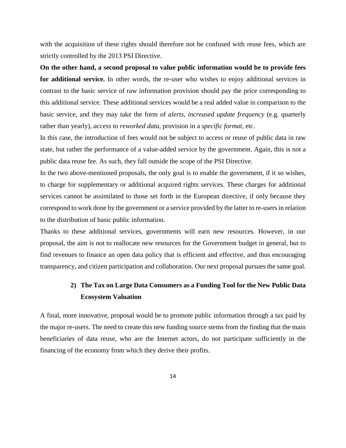with the acquisition of these rights should therefore not be confused with reuse fees, which are strictly controlled by the 2013 PSI Directive.

**On the other hand, a second proposal to value public information would be to provide fees for additional service.** In other words, the re-user who wishes to enjoy additional services in contrast to the basic service of raw information provision should pay the price corresponding to this additional service. These additional services would be a real added value in comparison to the basic service, and they may take the form of *alerts, increased update frequency* (e.g. quarterly rather than yearly), *access to reworked data*, provision in a *specific format*, etc.

In this case, the introduction of fees would not be subject to access or reuse of public data in raw state, but rather the performance of a value-added service by the government. Again, this is not a public data reuse fee. As such, they fall outside the scope of the PSI Directive.

In the two above-mentioned proposals, the only goal is to enable the government, if it so wishes, to charge for supplementary or additional acquired rights services. These charges for additional services cannot be assimilated to those set forth in the European directive, if only because they correspond to work done by the government or a service provided by the latter to re-users in relation to the distribution of basic public information.

Thanks to these additional services, governments will earn new resources. However, in our proposal, the aim is not to reallocate new resources for the Government budget in general, but to find revenues to finance an open data policy that is efficient and effective, and thus encouraging transparency, and citizen participation and collaboration. Our next proposal pursues the same goal.

## **2) The Tax on Large Data Consumers as a Funding Tool for the New Public Data Ecosystem Valuation**

A final, more innovative, proposal would be to promote public information through a tax paid by the major re-users. The need to create this new funding source stems from the finding that the main beneficiaries of data reuse, who are the Internet actors, do not participate sufficiently in the financing of the economy from which they derive their profits.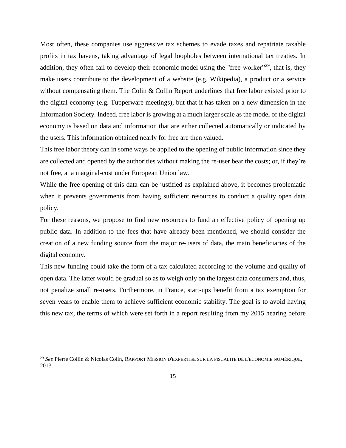Most often, these companies use aggressive tax schemes to evade taxes and repatriate taxable profits in tax havens, taking advantage of legal loopholes between international tax treaties. In addition, they often fail to develop their economic model using the "free worker"<sup>29</sup>, that is, they make users contribute to the development of a website (e.g. Wikipedia), a product or a service without compensating them. The Colin & Collin Report underlines that free labor existed prior to the digital economy (e.g. Tupperware meetings), but that it has taken on a new dimension in the Information Society. Indeed, free labor is growing at a much larger scale as the model of the digital economy is based on data and information that are either collected automatically or indicated by the users. This information obtained nearly for free are then valued.

This free labor theory can in some ways be applied to the opening of public information since they are collected and opened by the authorities without making the re-user bear the costs; or, if they're not free, at a marginal-cost under European Union law.

While the free opening of this data can be justified as explained above, it becomes problematic when it prevents governments from having sufficient resources to conduct a quality open data policy.

For these reasons, we propose to find new resources to fund an effective policy of opening up public data. In addition to the fees that have already been mentioned, we should consider the creation of a new funding source from the major re-users of data, the main beneficiaries of the digital economy.

This new funding could take the form of a tax calculated according to the volume and quality of open data. The latter would be gradual so as to weigh only on the largest data consumers and, thus, not penalize small re-users. Furthermore, in France, start-ups benefit from a tax exemption for seven years to enable them to achieve sufficient economic stability. The goal is to avoid having this new tax, the terms of which were set forth in a report resulting from my 2015 hearing before

l

<sup>29</sup> *See* Pierre Collin & Nicolas Colin, RAPPORT MISSION D'EXPERTISE SUR LA FISCALITÉ DE L'ÉCONOMIE NUMÉRIQUE*,*  2013.